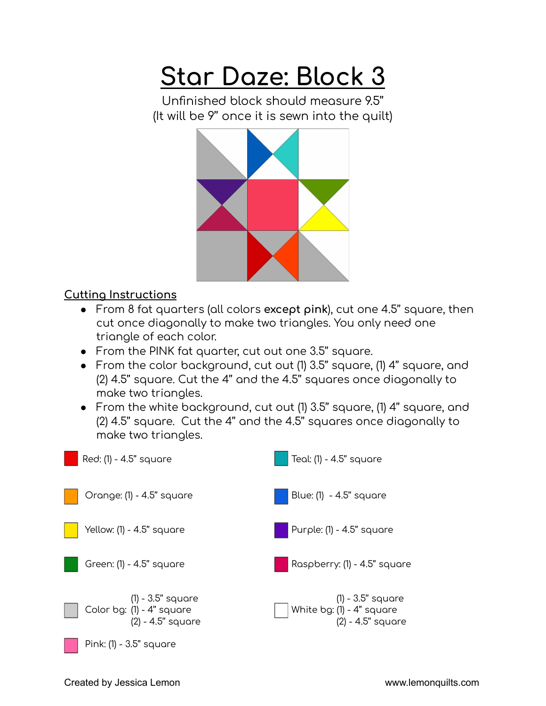## **Star Daze: Block 3**

Unfinished block should measure 9.5'' (It will be 9'' once it is sewn into the quilt)



## **Cutting Instructions**

- From 8 fat quarters (all colors **except pink**), cut one 4.5'' square, then cut once diagonally to make two triangles. You only need one triangle of each color.
- From the PINK fat quarter, cut out one 3.5'' square.
- From the color background, cut out (1) 3.5'' square, (1) 4'' square, and (2) 4.5'' square. Cut the 4'' and the 4.5'' squares once diagonally to make two triangles.
- From the white background, cut out (1) 3.5'' square, (1) 4'' square, and (2) 4.5'' square. Cut the 4'' and the 4.5'' squares once diagonally to make two triangles.

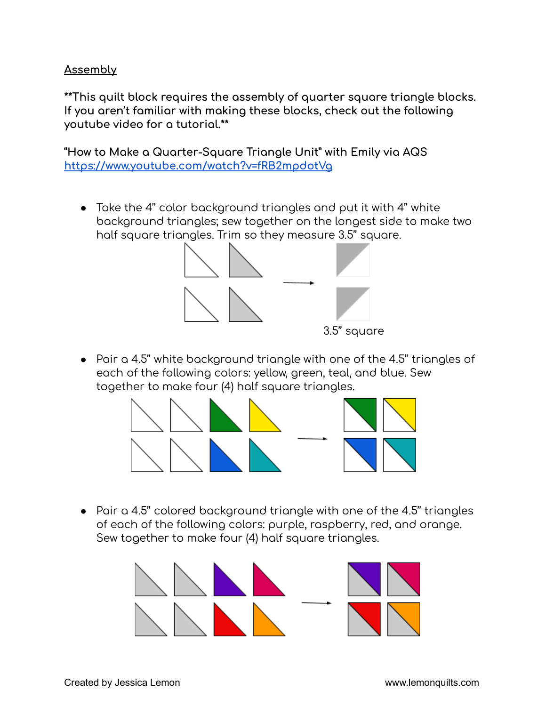## **Assembly**

**\*\*This quilt block requires the assembly of quarter square triangle blocks. If you aren't familiar with making these blocks, check out the following youtube video for a tutorial.\*\***

**"How to Make a Quarter-Square Triangle Unit" with Emily via AQS <https://www.youtube.com/watch?v=fRB2mpdotVg>**

● Take the 4'' color background triangles and put it with 4'' white background triangles; sew together on the longest side to make two half square triangles. Trim so they measure 3.5'' square.



● Pair a 4.5'' white background triangle with one of the 4.5'' triangles of each of the following colors: yellow, green, teal, and blue. Sew together to make four (4) half square triangles.



● Pair a 4.5'' colored background triangle with one of the 4.5'' triangles of each of the following colors: purple, raspberry, red, and orange. Sew together to make four (4) half square triangles.

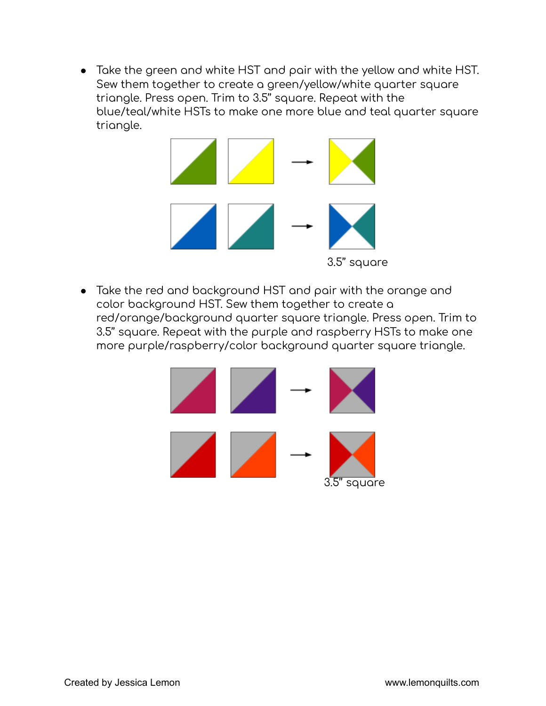● Take the green and white HST and pair with the yellow and white HST. Sew them together to create a green/yellow/white quarter square triangle. Press open. Trim to 3.5'' square. Repeat with the blue/teal/white HSTs to make one more blue and teal quarter square triangle.



● Take the red and background HST and pair with the orange and color background HST. Sew them together to create a red/orange/background quarter square triangle. Press open. Trim to 3.5'' square. Repeat with the purple and raspberry HSTs to make one more purple/raspberry/color background quarter square triangle.